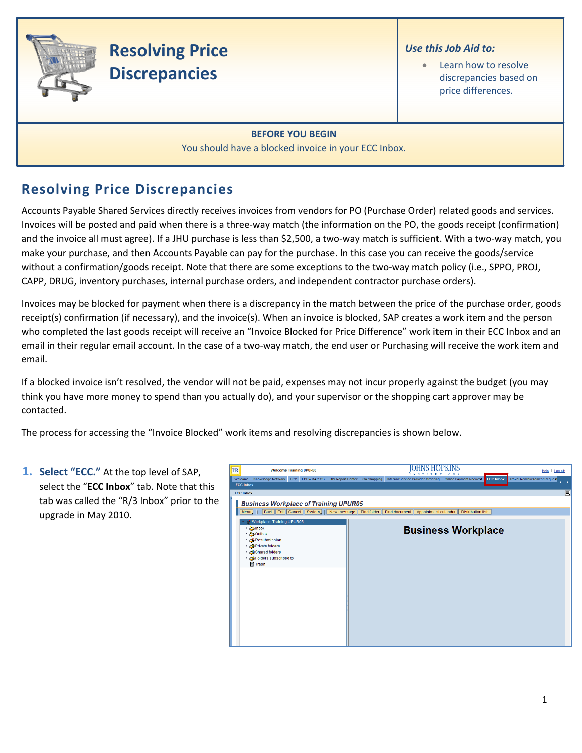

# **Resolving Price Discrepancies**

#### *Use this Job Aid to:*

Learn how to resolve discrepancies based on price differences.

### **BEFORE YOU BEGIN**

You should have a blocked invoice in your ECC Inbox.

## **Resolving Price Discrepancies**

Accounts Payable Shared Services directly receives invoices from vendors for PO (Purchase Order) related goods and services. Invoices will be posted and paid when there is a three‐way match (the information on the PO, the goods receipt (confirmation) and the invoice all must agree). If a JHU purchase is less than \$2,500, a two‐way match is sufficient. With a two‐way match, you make your purchase, and then Accounts Payable can pay for the purchase. In this case you can receive the goods/service without a confirmation/goods receipt. Note that there are some exceptions to the two-way match policy (i.e., SPPO, PROJ, CAPP, DRUG, inventory purchases, internal purchase orders, and independent contractor purchase orders).

Invoices may be blocked for payment when there is a discrepancy in the match between the price of the purchase order, goods receipt(s) confirmation (if necessary), and the invoice(s). When an invoice is blocked, SAP creates a work item and the person who completed the last goods receipt will receive an "Invoice Blocked for Price Difference" work item in their ECC Inbox and an email in their regular email account. In the case of a two-way match, the end user or Purchasing will receive the work item and email.

If a blocked invoice isn't resolved, the vendor will not be paid, expenses may not incur properly against the budget (you may think you have more money to spend than you actually do), and your supervisor or the shopping cart approver may be contacted.

The process for accessing the "Invoice Blocked" work items and resolving discrepancies is shown below.

| <b>1. Select "ECC."</b> At the top level of SAP,<br>select the "ECC Inbox" tab. Note that this<br>tab was called the "R/3 Inbox" prior to the<br>upgrade in May 2010. | <b>TR</b><br><b>Welcome Training UPUR05</b><br><b>ECC Inbox</b><br><b>ECC Inbox</b><br><b>Business Workplace of Training UPUR05</b><br>Menu J              | IOHNS HOPKINS<br>Help   Log off<br>Welcome Knowledge Network ECC ECC - MAC OS BW Report Center Go Shopping Internal Service Provider Ordering Online Payment Request<br><b>ECC Inbox</b><br><b>Travel Reimbursement Request</b><br>工同<br><b>Back Exit Cancel System   New message Find folder Find document Appointment calendar Distribution lists</b> |
|-----------------------------------------------------------------------------------------------------------------------------------------------------------------------|------------------------------------------------------------------------------------------------------------------------------------------------------------|---------------------------------------------------------------------------------------------------------------------------------------------------------------------------------------------------------------------------------------------------------------------------------------------------------------------------------------------------------|
|                                                                                                                                                                       | Workplace: Training UPUR05<br>▶ Sinbox<br>▶ <b>Coutbox</b><br>Resubmission<br>Private folders<br>Shared folders<br>Folders subscribed to<br><b>行 Trash</b> | <b>Business Workplace</b>                                                                                                                                                                                                                                                                                                                               |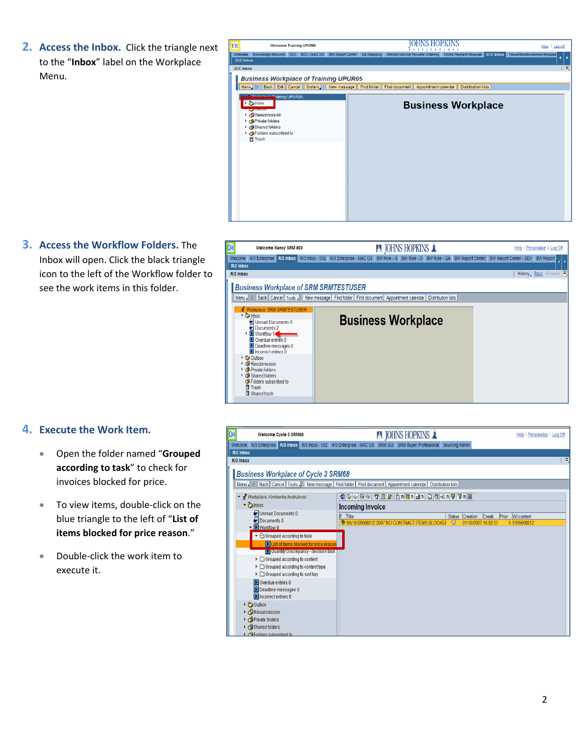**2. Access the Inbox.** Click the triangle next to the "**Inbox**" label on the Workplace Menu.



**3. Access the Workflow Folders.** The Inbox will open. Click the black triangle icon to the left of the Workflow folder to see the work items in this folder.

| QA        |                                                                                                                                                                                                       | Welcome Nancy SRM #20 |                                              | <b>A JOHNS HOPKINS A</b>                                                                                  |                           |  | Help   Personalize   Log Off |
|-----------|-------------------------------------------------------------------------------------------------------------------------------------------------------------------------------------------------------|-----------------------|----------------------------------------------|-----------------------------------------------------------------------------------------------------------|---------------------------|--|------------------------------|
| Welcome   | R/3 Enterprise                                                                                                                                                                                        | $R/3$ inbox           | R/3 Inbox - 552 R/3 Enterprise - MAC OS      | BW Role - S   BW Role - D   BW Role - QA   BW Report Center   BW Report Center - DEV                      |                           |  | <b>BW Report</b>             |
| R/3 Inbox |                                                                                                                                                                                                       |                       |                                              |                                                                                                           |                           |  |                              |
| R/3 Inbox |                                                                                                                                                                                                       |                       |                                              |                                                                                                           |                           |  | History, Back Forward        |
| Menu -    | <del>R</del> Workplace: SRM SRMTESTUSER<br>▼ blnbox<br>■ Unread Documents 0<br>Documents 2<br><b>D</b> Workflow 1<br>Overdue entries 0<br>Deadline messages 0<br>$\blacksquare$ Incorrect entries $0$ |                       | <b>Business Workplace of SRM SRMTESTUSER</b> | Back Cancel Tools New message Find folder Find document Appointment calendar<br><b>Business Workplace</b> | <b>Distribution lists</b> |  |                              |
|           | Outbox<br>Resubmission<br>Private folders<br>Shared folders<br>Folders subscribed to<br>Trash<br>Shared trash                                                                                         |                       |                                              |                                                                                                           |                           |  |                              |

#### **4. Execute the Work Item.**

- Open the folder named "**Grouped according to task**" to check for invoices blocked for price.
- To view items, double‐click on the blue triangle to the left of "**List of items blocked for price reason**."
- Double‐click the work item to execute it.

| QA | <b>Welcome Cycle 3 SRM68</b>                                                                   | <b>A JOHNS HOPKINS A</b>                                                                                              | Help   Personalize   Log Off             |
|----|------------------------------------------------------------------------------------------------|-----------------------------------------------------------------------------------------------------------------------|------------------------------------------|
|    | R/3 Enterprise   R/3 Inbox   R/3 Inbox - 552<br>Welcome                                        | R/3 Enterprise - MAC OS SRM GUI SRM Buyer Professional<br><b>Sourcing Admin</b>                                       |                                          |
|    | R/3 Inbox<br>R/3 Inbox                                                                         |                                                                                                                       | 圓                                        |
|    |                                                                                                |                                                                                                                       |                                          |
|    | <b>Business Workplace of Cycle 3 SRM68</b>                                                     |                                                                                                                       |                                          |
|    | Menu                                                                                           | Back   Cancel   Tools   New message   Find folder   Find document   Appointment calendar<br><b>Distribution lists</b> |                                          |
|    | Workplace: Kimberley Andrulonis                                                                | 8 0 4 0 3 7 2 8 0 1 6 2 3 4 1 2 3 4 1 7 7 1 8                                                                         |                                          |
|    | $\blacktriangleright$ $\blacktriangleright$ lnbox                                              | <b>Incoming Invoice</b>                                                                                               |                                          |
|    | Unread Documents 0                                                                             | E Title                                                                                                               | Status Creation  Creati Prior WI content |
|    | Documents 0<br>▼ Workflow 9                                                                    | W INV 5105600212 2007 NO CONTRACT ITEMS BLOCKEI<br>0<br>01/10/2007 16:52:37                                           | 5 5105600212                             |
|    | $\blacktriangleright$ $\ominus$ Grouped according to task                                      |                                                                                                                       |                                          |
|    | I List of items blocked for price reason                                                       |                                                                                                                       |                                          |
|    | Quantity Discrepancy - decision task                                                           |                                                                                                                       |                                          |
|    | $\triangleright$ $\Box$ Grouped according to content                                           |                                                                                                                       |                                          |
|    | $\triangleright$ $\Box$ Grouped according to content type<br>▶ □ Grouped according to sort key |                                                                                                                       |                                          |
|    | Overdue entries 0                                                                              |                                                                                                                       |                                          |
|    | Deadline messages 0                                                                            |                                                                                                                       |                                          |
|    | Incorrect entries 0                                                                            |                                                                                                                       |                                          |
|    | $\triangleright$ $\bigcirc$ Outbox                                                             |                                                                                                                       |                                          |
|    | $\triangleright$ <b>C</b> Resubmission                                                         |                                                                                                                       |                                          |
|    | Private folders                                                                                |                                                                                                                       |                                          |
|    | Shared folders<br>Folders subscribed to                                                        |                                                                                                                       |                                          |
|    |                                                                                                |                                                                                                                       |                                          |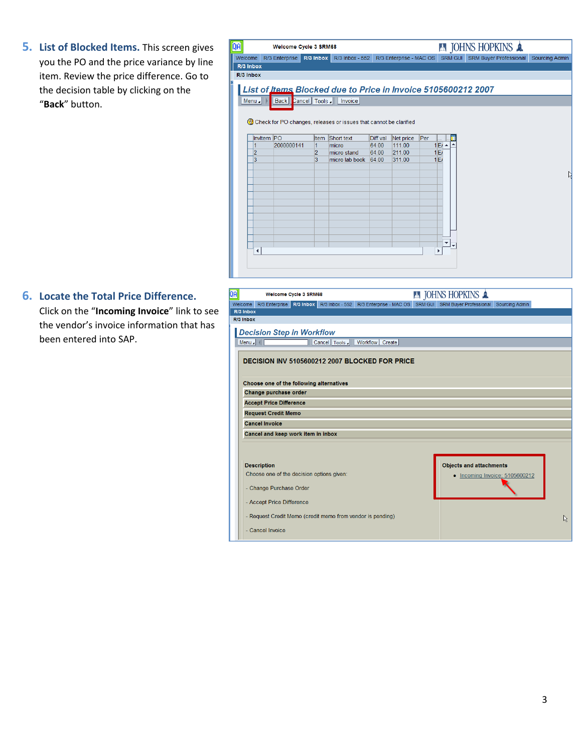**5. List of Blocked Items.** This screen gives you the PO and the price variance by line item. Review the price difference. Go to the decision table by clicking on the "**Back**" button.

| R/3 Inbox - 552 R/3 Enterprise - MAC OS SRM GUI<br><b>SRM Buyer Professional</b><br>R/3 Enterprise<br>R/3 Inbox<br>Welcome<br>R/3 Inbox<br>R/3 Inbox<br>List of <u>Items</u> Blocked due to Price in Invoice 5105600212 2007<br>Back   Cancel   Tools     Invoice  <br>Menu<br>Check for PO changes, releases or issues that cannot be clarified<br>Invitem PO<br>Per<br>Short text<br>Diff.val<br>Net price<br>Item<br>2000000141<br>64.00<br>111.00<br>1E/I<br>٠<br>1<br>1<br>micro<br>2<br>2<br>211.00<br>1E<br>micro stand<br>64.00<br>3<br>3<br>1E<br>micro lab book<br>64.00<br>311.00<br>▼<br>◀ | <b>A JOHNS HOPKINS A</b><br><b>Welcome Cycle 3 SRM68</b> |  |  |  |  |  |  |  |                       |
|--------------------------------------------------------------------------------------------------------------------------------------------------------------------------------------------------------------------------------------------------------------------------------------------------------------------------------------------------------------------------------------------------------------------------------------------------------------------------------------------------------------------------------------------------------------------------------------------------------|----------------------------------------------------------|--|--|--|--|--|--|--|-----------------------|
|                                                                                                                                                                                                                                                                                                                                                                                                                                                                                                                                                                                                        |                                                          |  |  |  |  |  |  |  | <b>Sourcing Admin</b> |
|                                                                                                                                                                                                                                                                                                                                                                                                                                                                                                                                                                                                        |                                                          |  |  |  |  |  |  |  |                       |
|                                                                                                                                                                                                                                                                                                                                                                                                                                                                                                                                                                                                        |                                                          |  |  |  |  |  |  |  |                       |
|                                                                                                                                                                                                                                                                                                                                                                                                                                                                                                                                                                                                        |                                                          |  |  |  |  |  |  |  |                       |
|                                                                                                                                                                                                                                                                                                                                                                                                                                                                                                                                                                                                        |                                                          |  |  |  |  |  |  |  |                       |
|                                                                                                                                                                                                                                                                                                                                                                                                                                                                                                                                                                                                        |                                                          |  |  |  |  |  |  |  |                       |
|                                                                                                                                                                                                                                                                                                                                                                                                                                                                                                                                                                                                        |                                                          |  |  |  |  |  |  |  |                       |
|                                                                                                                                                                                                                                                                                                                                                                                                                                                                                                                                                                                                        |                                                          |  |  |  |  |  |  |  |                       |
|                                                                                                                                                                                                                                                                                                                                                                                                                                                                                                                                                                                                        |                                                          |  |  |  |  |  |  |  |                       |
|                                                                                                                                                                                                                                                                                                                                                                                                                                                                                                                                                                                                        |                                                          |  |  |  |  |  |  |  |                       |
|                                                                                                                                                                                                                                                                                                                                                                                                                                                                                                                                                                                                        |                                                          |  |  |  |  |  |  |  |                       |
|                                                                                                                                                                                                                                                                                                                                                                                                                                                                                                                                                                                                        |                                                          |  |  |  |  |  |  |  |                       |
|                                                                                                                                                                                                                                                                                                                                                                                                                                                                                                                                                                                                        |                                                          |  |  |  |  |  |  |  |                       |
|                                                                                                                                                                                                                                                                                                                                                                                                                                                                                                                                                                                                        |                                                          |  |  |  |  |  |  |  | W                     |
|                                                                                                                                                                                                                                                                                                                                                                                                                                                                                                                                                                                                        |                                                          |  |  |  |  |  |  |  |                       |
|                                                                                                                                                                                                                                                                                                                                                                                                                                                                                                                                                                                                        |                                                          |  |  |  |  |  |  |  |                       |
|                                                                                                                                                                                                                                                                                                                                                                                                                                                                                                                                                                                                        |                                                          |  |  |  |  |  |  |  |                       |
|                                                                                                                                                                                                                                                                                                                                                                                                                                                                                                                                                                                                        |                                                          |  |  |  |  |  |  |  |                       |
|                                                                                                                                                                                                                                                                                                                                                                                                                                                                                                                                                                                                        |                                                          |  |  |  |  |  |  |  |                       |
|                                                                                                                                                                                                                                                                                                                                                                                                                                                                                                                                                                                                        |                                                          |  |  |  |  |  |  |  |                       |
|                                                                                                                                                                                                                                                                                                                                                                                                                                                                                                                                                                                                        |                                                          |  |  |  |  |  |  |  |                       |
|                                                                                                                                                                                                                                                                                                                                                                                                                                                                                                                                                                                                        |                                                          |  |  |  |  |  |  |  |                       |
|                                                                                                                                                                                                                                                                                                                                                                                                                                                                                                                                                                                                        |                                                          |  |  |  |  |  |  |  |                       |
|                                                                                                                                                                                                                                                                                                                                                                                                                                                                                                                                                                                                        |                                                          |  |  |  |  |  |  |  |                       |
|                                                                                                                                                                                                                                                                                                                                                                                                                                                                                                                                                                                                        |                                                          |  |  |  |  |  |  |  |                       |

#### **6. Locate the Total Price Difference.**

Click on the "**Incoming Invoice**" link to see the vendor's invoice information that has been entered into SAP.

| ĴА |                                                |                                                                                                                         | <b>Welcome Cycle 3 SRM68</b> |  |                                                            |  | <b>A JOHNS HOPKINS &amp;</b>                                                                    |                                |   |  |
|----|------------------------------------------------|-------------------------------------------------------------------------------------------------------------------------|------------------------------|--|------------------------------------------------------------|--|-------------------------------------------------------------------------------------------------|--------------------------------|---|--|
|    | Welcome                                        |                                                                                                                         |                              |  |                                                            |  | R/3 Enterprise R/3 Inbox R/3 Inbox - 552 R/3 Enterprise - MAC OS SRM GUI SRM Buyer Professional | Sourcing Admin                 |   |  |
|    | R/3 Inbox                                      |                                                                                                                         |                              |  |                                                            |  |                                                                                                 |                                |   |  |
|    | R/3 Inbox                                      |                                                                                                                         |                              |  |                                                            |  |                                                                                                 |                                |   |  |
|    |                                                | <b>Decision Step in Workflow</b>                                                                                        |                              |  |                                                            |  |                                                                                                 |                                |   |  |
|    | Menu $\parallel$                               |                                                                                                                         |                              |  | Cancel   Tools /     Workflow   Create                     |  |                                                                                                 |                                |   |  |
|    | DECISION INV 5105600212 2007 BLOCKED FOR PRICE |                                                                                                                         |                              |  |                                                            |  |                                                                                                 |                                |   |  |
|    |                                                | Choose one of the following alternatives                                                                                |                              |  |                                                            |  |                                                                                                 |                                |   |  |
|    |                                                | Change purchase order                                                                                                   |                              |  |                                                            |  |                                                                                                 |                                |   |  |
|    |                                                | <b>Accept Price Difference</b>                                                                                          |                              |  |                                                            |  |                                                                                                 |                                |   |  |
|    |                                                | <b>Request Credit Memo</b>                                                                                              |                              |  |                                                            |  |                                                                                                 |                                |   |  |
|    |                                                | <b>Cancel Invoice</b>                                                                                                   |                              |  |                                                            |  |                                                                                                 |                                |   |  |
|    |                                                | Cancel and keep work item in inbox                                                                                      |                              |  |                                                            |  |                                                                                                 |                                |   |  |
|    |                                                | <b>Description</b><br>Choose one of the decision options given:<br>- Change Purchase Order<br>- Accept Price Difference |                              |  |                                                            |  | <b>Objects and attachments</b>                                                                  | • Incoming Invoice: 5105600212 |   |  |
|    |                                                | - Cancel Invoice                                                                                                        |                              |  | - Request Credit Memo (credit memo from vendor is pending) |  |                                                                                                 |                                | R |  |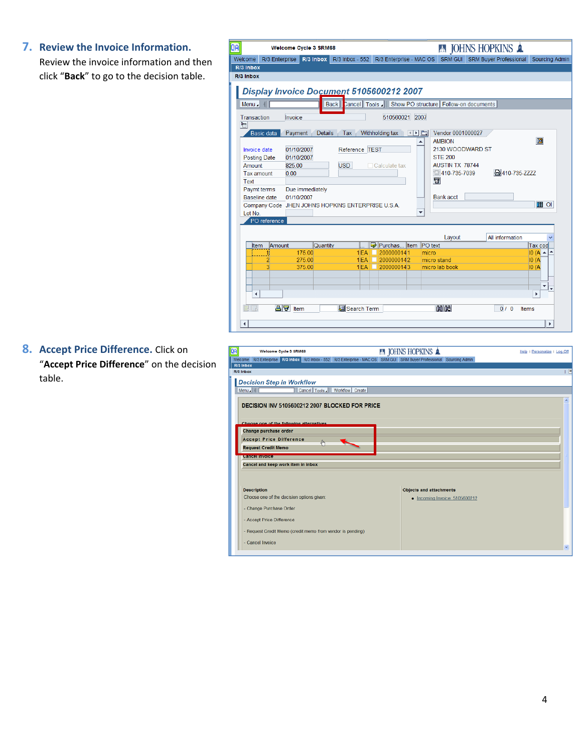#### **7. Review the Invoice Information.**

Review the invoice information and then click "**Back**" to go to the decision table.

|                               |              |                | <b>Welcome Cycle 3 SRM68</b> |                                                   |                         |                         |                                         | <b>A JOHNS HOPKINS A</b>      |                       |
|-------------------------------|--------------|----------------|------------------------------|---------------------------------------------------|-------------------------|-------------------------|-----------------------------------------|-------------------------------|-----------------------|
| Welcome                       |              | R/3 Enterprise | R/3 Inbox                    | R/3 Inbox - 552                                   | R/3 Enterprise - MAC OS |                         | SRM GUI                                 | <b>SRM Buyer Professional</b> | <b>Sourcing Admin</b> |
| R/3 Inbox                     |              |                |                              |                                                   |                         |                         |                                         |                               |                       |
| R/3 Inbox                     |              |                |                              |                                                   |                         |                         |                                         |                               |                       |
|                               |              |                |                              | Display Invoice Document 5105600212 2007          |                         |                         |                                         |                               |                       |
| Menu.                         |              |                |                              | Cancel   Tools<br>Back                            |                         |                         | Show PO structure   Follow-on documents |                               |                       |
| Transaction<br>$\blacksquare$ |              | Invoice        |                              |                                                   | 510560021 2007          |                         |                                         |                               |                       |
|                               | Basic data   | Payment        |                              | Details Tax Withholding tax   4 1                 |                         |                         | Vendor 0001000027                       |                               |                       |
|                               |              |                |                              |                                                   |                         | ▲                       | <b>AMBION</b>                           |                               | 圖                     |
| <b>Invoice date</b>           |              |                | 01/10/2007                   | Reference TEST                                    |                         |                         | 2130 WOODWARD ST                        |                               |                       |
| <b>Posting Date</b>           |              |                | 01/10/2007                   |                                                   |                         |                         | <b>STE 200</b>                          |                               |                       |
| Amount                        |              | 825.00         |                              | <b>USD</b>                                        | □ Calculate tax         |                         | <b>AUSTIN TX 78744</b>                  |                               |                       |
| Tax amount                    |              | 0.00           |                              |                                                   |                         |                         | 410-735-7039                            | 吕410-735-7777                 |                       |
| <b>Text</b>                   |              |                |                              |                                                   |                         |                         | $\mathbf{u}$                            |                               |                       |
| Paymt terms                   |              |                | Due immediately              |                                                   |                         |                         |                                         |                               |                       |
| <b>Baseline</b> date          |              |                | 01/10/2007                   |                                                   |                         |                         | <b>Bank acct</b>                        |                               |                       |
|                               |              |                |                              | Company Code JHEN JOHNS HOPKINS ENTERPRISE U.S.A. |                         |                         |                                         |                               | <b>TH</b> OI          |
| Lot No.                       |              |                |                              |                                                   |                         | $\overline{\mathbf{v}}$ |                                         |                               |                       |
|                               | PO reference |                |                              |                                                   |                         |                         |                                         |                               |                       |
|                               |              |                |                              |                                                   |                         |                         | Layout                                  | All information               |                       |
| Item                          |              | Amount         | Quantity                     |                                                   | Purchas Item PO text    |                         |                                         |                               | Tax cod               |
|                               |              |                | 175.00                       | 1 EA                                              | 2000000141              | micro                   |                                         |                               | $10(A - 2)$           |
|                               | 2            |                | 275.00                       | $1$ $FA$                                          | 2000000142              |                         | micro stand                             |                               | IO(A)                 |
|                               | з            |                | 375.00                       | 1 EA                                              | 2000000143<br>п         |                         | micro lab book                          |                               | IO(A)                 |
|                               |              |                |                              |                                                   |                         |                         |                                         |                               |                       |
|                               |              |                |                              |                                                   |                         |                         |                                         |                               |                       |
| ∢                             |              |                |                              |                                                   |                         |                         |                                         |                               |                       |
| RR                            |              | 合同 Item        |                              | 图 Search Term                                     |                         |                         | 間間                                      | 0/0<br>Items                  |                       |
|                               |              |                |                              |                                                   |                         |                         |                                         |                               |                       |
| $\blacktriangleleft$          |              |                |                              |                                                   |                         |                         |                                         |                               | $\blacktriangleright$ |

**8. Accept Price Difference.** Click on "**Accept Price Difference**" on the decision table.

| Welcome Cycle 3 SRM68                                                                                                  | <b>EN JOHNS HOPKINS A</b>              | Help   Personalize   Log Off |
|------------------------------------------------------------------------------------------------------------------------|----------------------------------------|------------------------------|
| Welcome R/3 Enterprise R/3 Inbox R/3 Inbox - 552 R/3 Enterprise - MAC OS SRM GUI SRM Buyer Professional Sourcing Admin |                                        |                              |
| R/3 Inbox<br>R/3 Inbox                                                                                                 |                                        |                              |
|                                                                                                                        |                                        |                              |
| <b>Decision Step in Workflow</b>                                                                                       |                                        |                              |
| Cancel Tools / Workflow Create<br>Menu H                                                                               |                                        |                              |
| DECISION INV 5105600212 2007 BLOCKED FOR PRICE                                                                         |                                        |                              |
|                                                                                                                        |                                        |                              |
| Choose one of the following alternatives                                                                               |                                        |                              |
| Change purchase order                                                                                                  |                                        |                              |
|                                                                                                                        |                                        |                              |
|                                                                                                                        |                                        |                              |
| <b>Accept Price Difference</b>                                                                                         |                                        |                              |
| <b>Request Credit Memo</b><br><b>Concornivers</b>                                                                      |                                        |                              |
| Cancel and keep work item in inbox                                                                                     |                                        |                              |
|                                                                                                                        |                                        |                              |
|                                                                                                                        |                                        |                              |
| <b>Description</b>                                                                                                     | <b>Objects and attachments</b>         |                              |
| Choose one of the decision options given:                                                                              | $\bullet$ Incoming Invoice: 5105600212 |                              |
|                                                                                                                        |                                        |                              |
| - Change Purchase Order                                                                                                |                                        |                              |
| - Accept Price Difference                                                                                              |                                        |                              |
| - Request Credit Memo (credit memo from vendor is pending)                                                             |                                        |                              |
| - Cancel Invoice                                                                                                       |                                        |                              |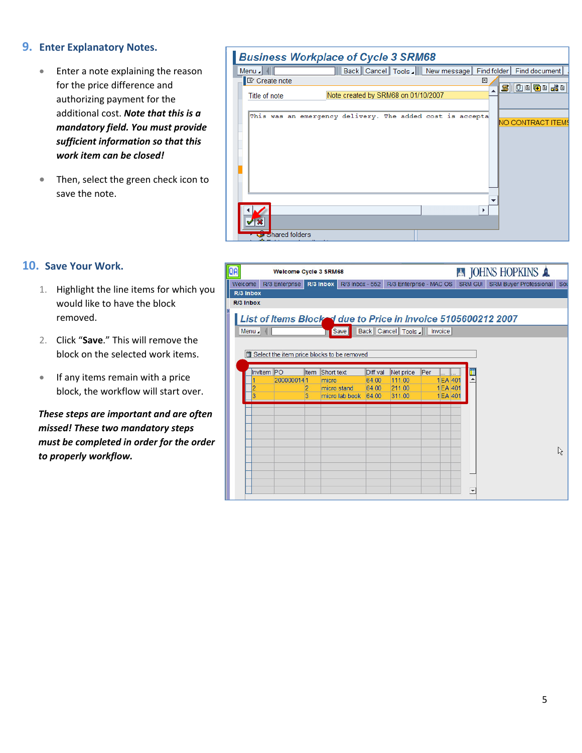#### **9. Enter Explanatory Notes.**

- Enter a note explaining the reason for the price difference and authorizing payment for the additional cost. *Note that this is a mandatory field. You must provide sufficient information so that this work item can be closed!*
- Then, select the green check icon to save the note.

#### **Business Workplace of Cycle 3 SRM68**

| Menu                         | Back   Cancel   Tools   New message                       | Find folder   Find document   / |
|------------------------------|-----------------------------------------------------------|---------------------------------|
| <b>I</b> <i>C</i> reate note | $\mathbbmss{}$                                            |                                 |
| Title of note                | Note created by SRM68 on 01/10/2007                       | SIDDGBI 201                     |
|                              |                                                           |                                 |
|                              | This was an emergency delivery. The added cost is accepta | <b>NO CONTRACT ITEMS</b>        |
|                              |                                                           |                                 |
|                              |                                                           |                                 |
|                              |                                                           |                                 |
|                              |                                                           |                                 |
|                              |                                                           |                                 |
|                              |                                                           |                                 |
|                              |                                                           |                                 |
|                              |                                                           |                                 |
|                              |                                                           |                                 |
| Shared folders               |                                                           |                                 |

#### **10. Save Your Work.**

- 1. Highlight the line items for which you would like to have the block removed.
- 2. Click "**Save**." This will remove the block on the selected work items.
- If any items remain with a price block, the workflow will start over.

*These steps are important and are often missed! These two mandatory steps must be completed in order for the order to properly workflow.*

| ĴЫ        |                                                               | <b>Welcome Cycle 3 SRM68</b> |        |                                            |                |                         |     |                      |  |                         | <b>A JOHNS HOPKINS &amp;</b>   |     |
|-----------|---------------------------------------------------------------|------------------------------|--------|--------------------------------------------|----------------|-------------------------|-----|----------------------|--|-------------------------|--------------------------------|-----|
| Welcome   |                                                               |                              |        | R/3 Enterprise R/3 Inbox R/3 Inbox - 552   |                | R/3 Enterprise - MAC OS |     |                      |  |                         | SRM GUI SRM Buyer Professional | Sou |
| R/3 Inbox |                                                               |                              |        |                                            |                |                         |     |                      |  |                         |                                |     |
| R/3 Inbox |                                                               |                              |        |                                            |                |                         |     |                      |  |                         |                                |     |
|           | List of Items Blocked due to Price in Invoice 5105600212 2007 |                              |        |                                            |                |                         |     |                      |  |                         |                                |     |
|           | Back Cancel Tools / Invoice<br>Menu<br>Save                   |                              |        |                                            |                |                         |     |                      |  |                         |                                |     |
|           |                                                               |                              |        |                                            |                |                         |     |                      |  |                         |                                |     |
|           |                                                               |                              |        | Select the item price blocks to be removed |                |                         |     |                      |  |                         |                                |     |
|           |                                                               |                              |        |                                            |                |                         |     |                      |  |                         |                                |     |
|           | Invitem PO                                                    |                              | Item   | Short text                                 | Diff.val       | Net price               | Per |                      |  |                         |                                |     |
|           |                                                               | 2000000141                   |        | micro                                      | 64.00          | 111.00                  |     | 1 EA 401             |  |                         |                                |     |
|           |                                                               |                              | 2<br>3 | micro stand<br>micro lab book              | 64.00<br>64.00 | 211.00<br>311.00        |     | 1 EA 401<br>1 EA 401 |  |                         |                                |     |
|           |                                                               |                              |        |                                            |                |                         |     |                      |  |                         |                                |     |
|           |                                                               |                              |        |                                            |                |                         |     |                      |  |                         |                                |     |
|           |                                                               |                              |        |                                            |                |                         |     |                      |  |                         |                                |     |
|           |                                                               |                              |        |                                            |                |                         |     |                      |  |                         |                                |     |
|           |                                                               |                              |        |                                            |                |                         |     |                      |  |                         |                                |     |
|           |                                                               |                              |        |                                            |                |                         |     |                      |  |                         |                                | ん   |
|           |                                                               |                              |        |                                            |                |                         |     |                      |  |                         |                                |     |
|           |                                                               |                              |        |                                            |                |                         |     |                      |  |                         |                                |     |
|           |                                                               |                              |        |                                            |                |                         |     |                      |  |                         |                                |     |
|           |                                                               |                              |        |                                            |                |                         |     |                      |  | $\overline{\mathbf{v}}$ |                                |     |